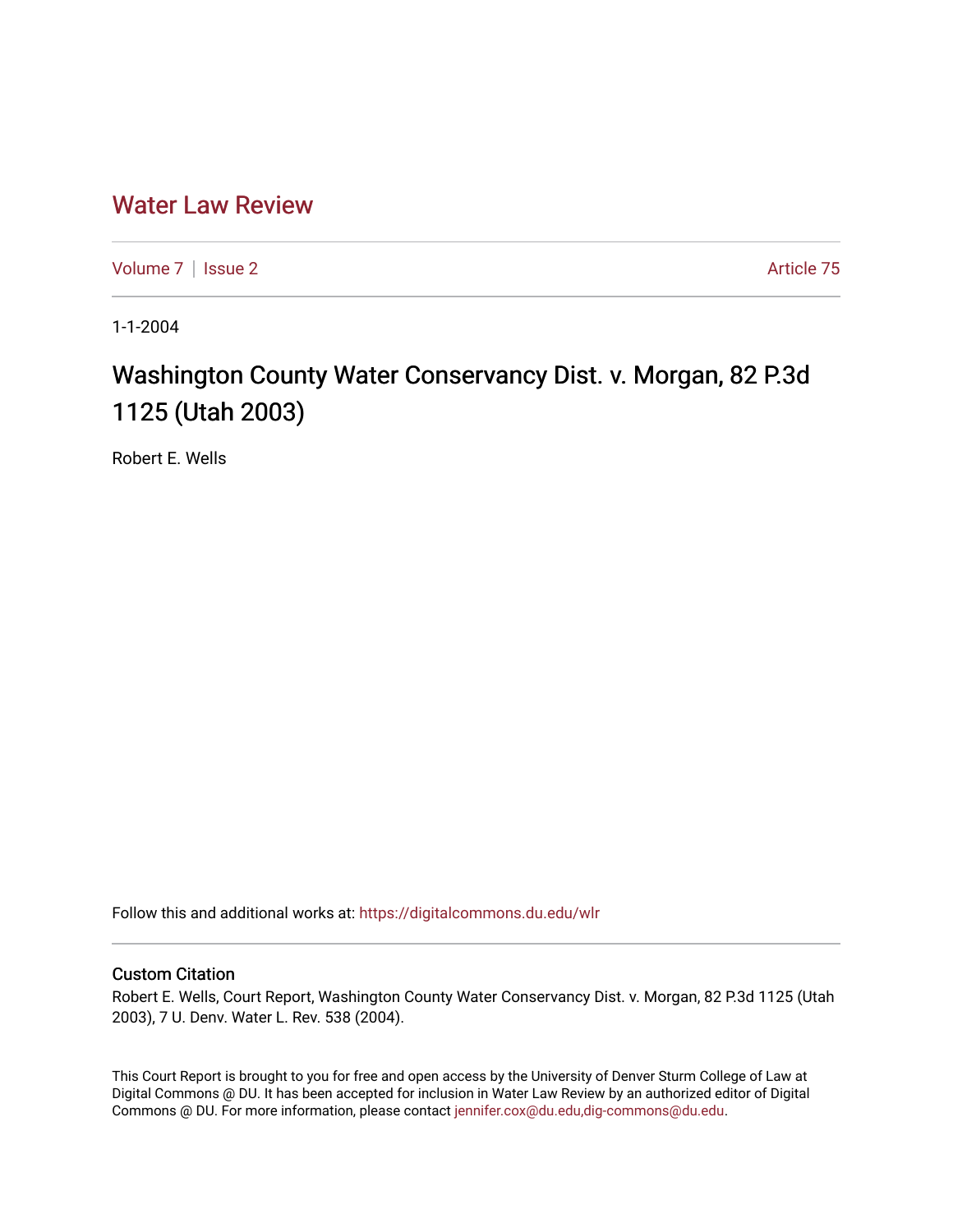## [Water Law Review](https://digitalcommons.du.edu/wlr)

[Volume 7](https://digitalcommons.du.edu/wlr/vol7) | [Issue 2](https://digitalcommons.du.edu/wlr/vol7/iss2) Article 75

1-1-2004

## Washington County Water Conservancy Dist. v. Morgan, 82 P.3d 1125 (Utah 2003)

Robert E. Wells

Follow this and additional works at: [https://digitalcommons.du.edu/wlr](https://digitalcommons.du.edu/wlr?utm_source=digitalcommons.du.edu%2Fwlr%2Fvol7%2Fiss2%2F75&utm_medium=PDF&utm_campaign=PDFCoverPages) 

## Custom Citation

Robert E. Wells, Court Report, Washington County Water Conservancy Dist. v. Morgan, 82 P.3d 1125 (Utah 2003), 7 U. Denv. Water L. Rev. 538 (2004).

This Court Report is brought to you for free and open access by the University of Denver Sturm College of Law at Digital Commons @ DU. It has been accepted for inclusion in Water Law Review by an authorized editor of Digital Commons @ DU. For more information, please contact [jennifer.cox@du.edu,dig-commons@du.edu.](mailto:jennifer.cox@du.edu,dig-commons@du.edu)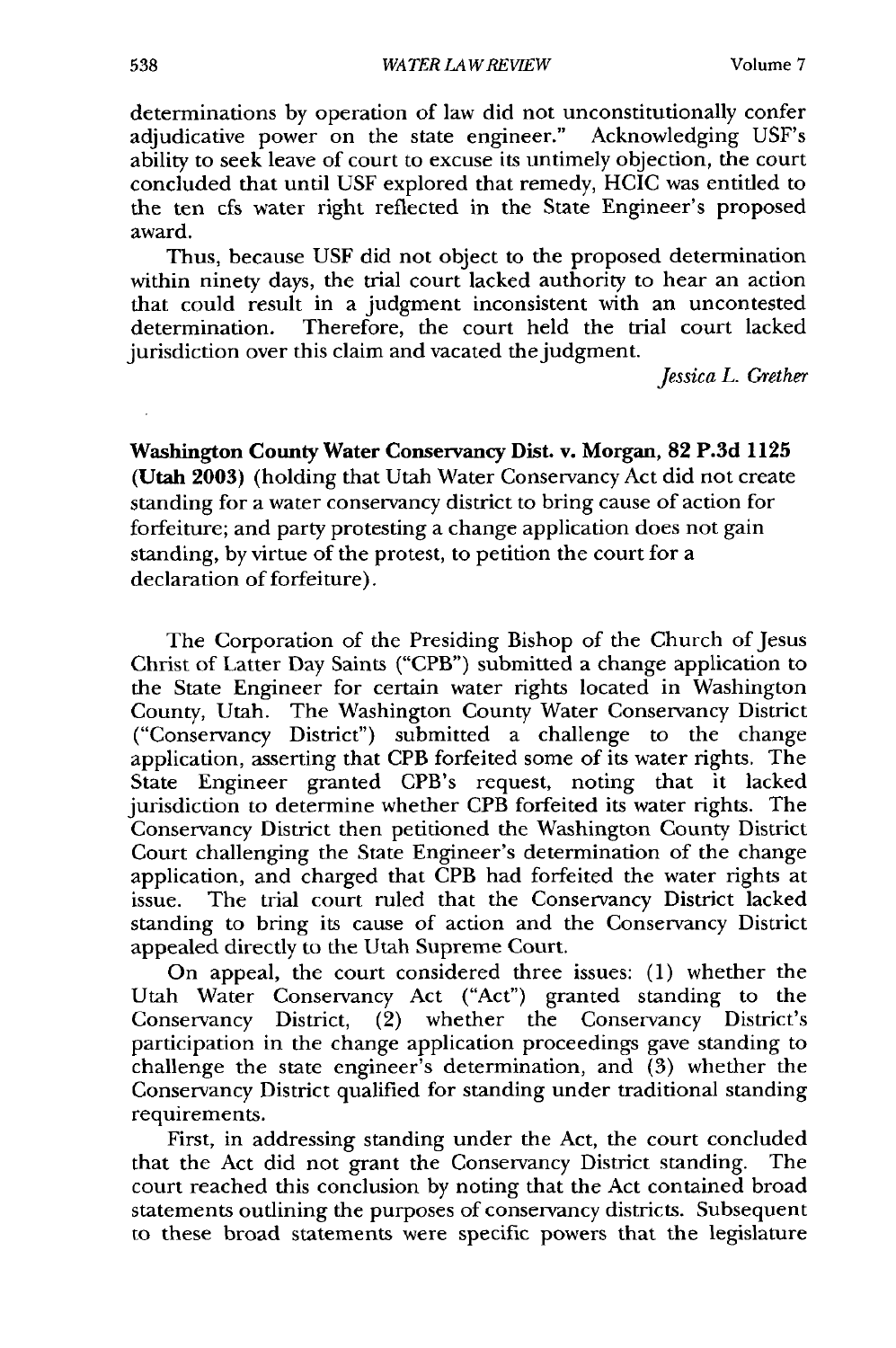determinations by operation of law did not unconstitutionally confer adjudicative power on the state engineer." Acknowledging USF's ability to seek leave of court to excuse its untimely objection, the court concluded that until USF explored that remedy, HCIC was entitled to the ten cfs water right reflected in the State Engineer's proposed award.

Thus, because USF did not object to the proposed determination within ninety days, the trial court lacked authority to hear an action that could result in a judgment inconsistent with an uncontested determination. Therefore, the court held the trial court lacked jurisdiction over this claim and vacated the judgment.

*Jessica L. Grether*

Washington **County Water Conservancy Dist. v. Morgan, 82 P.3d 1125** (Utah **2003)** (holding that Utah Water Conservancy Act did not create standing for a water conservancy district to bring cause of action for forfeiture; and party protesting a change application does not gain standing, **by** virtue of the protest, to petition the court for a declaration of forfeiture).

The Corporation of the Presiding Bishop of the Church of Jesus Christ of Latter Day Saints ("CPB") submitted a change application to the State Engineer for certain water rights located in Washington County, Utah. The Washington County Water Conservancy District ("Conservancy District") submitted a challenge to the change application, asserting that CPB forfeited some of its water rights. The State Engineer granted CPB's request, noting that it lacked jurisdiction to determine whether CPB forfeited its water rights. The Conservancy District then petitioned the Washington County District Court challenging the State Engineer's determination of the change application, and charged that CPB had forfeited the water rights at issue. The trial court ruled that the Conservancy District lacked standing to bring its cause of action and the Conservancy District appealed directly to the Utah Supreme Court.

On appeal, the court considered three issues: (1) whether the Utah Water Conservancy Act ("Act") granted standing to the Conservancy District, (2) whether the Conservancy District's participation in the change application proceedings gave standing to challenge the state engineer's determination, and (3) whether the Conservancy District qualified for standing under traditional standing requirements.

First, in addressing standing under the Act, the court concluded that the Act did not grant the Conservancy District standing. The court reached this conclusion by noting that the Act contained broad statements outlining the purposes of conservancy districts. Subsequent to these broad statements were specific powers that the legislature